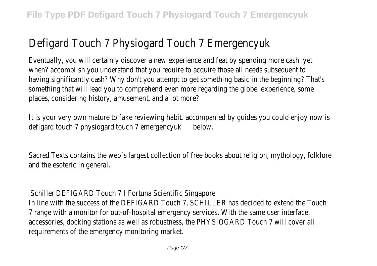## Defigard Touch 7 Physiogard Touch 7 Emergenc

Eventually, you will certainly discover a new experience and feat by spending more cash. Figure 2011 when? accomplish you understand that you require to acquire those all having significantly cash? Why don't you attempt to get something base something that will lead you to comprehend even more regarding the globe. places, considering history, amusement, and a lot more?

It is your very own mature to fake reviewing habit. accompanied by qu defigard touch 7 physiogard touch amergencyuk

Sacred Texts contains the web's largest collection of free books about and the esoteric in general.

Schiller DEFIGARD Touch 7 I Fortuna Scientific Singapore In line with the success of the DEFIGARD Touch 7, SCHILLER has decide 7 range with a monitor for out-of-hospital emergency services. With t accessories, docking stations as well as robustness, the PHYSIOGARD T requirements of the emergency monitoring market.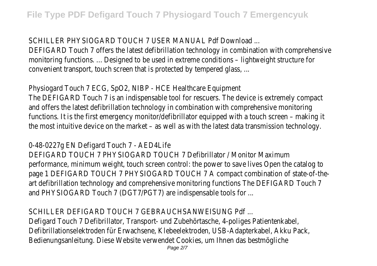SCHILLER PHYSIOGARD TOUCH 7 USER MANUAL Pdf Download ...

DEFIGARD Touch 7 offers the latest defibrillation technology in combination monitoring functions. ... Designed to be used in extreme conditions - light convenient transport, touch screen that is protected by tempered glas

Physiogard Touch 7 ECG, SpO2, NIBP - HCE Healthcare Equipment The DEFIGARD Touch 7 is an indispensable tool for rescuers. The device and offers the latest defibrillation technology in combination with com functions. It is the first emergency monitor/defibrillator equipped with the most intuitive device on the market – as well as with the latest data the

0-48-0227g EN Defigard Touch 7 - AED4Life

DEFIGARD TOUCH 7 PHYSIOGARD TOUCH 7 Defibrillator / Monitor Maxim performance, minimum weight, touch screen control: the power to save page 1 DEFIGARD TOUCH 7 PHYSIOGARD TOUCH 7 A compact combination art defibrillation technology and comprehensive monitoring functions The and PHYSIOGARD Touch 7 (DGT7/PGT7) are indispensable tools for ...

SCHILLER DEFIGARD TOUCH 7 GEBRAUCHSANWEISUNG Pdf ...

Defigard Touch 7 Defibrillator, Transport- und Zubehörtasche, 4-poliges Defibrillationselektroden für Erwachsene, Klebeelektroden, USB-Adapterl Bedienungsanleitung. Diese Website verwendet Cookies, um Ihnen das b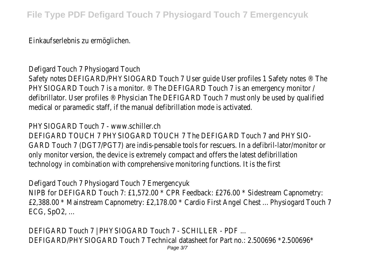Einkaufserlebnis zu ermöglichen.

Defigard Touch 7 Physiogard Touch

Safety notes DEFIGARD/PHYSIOGARD Touch 7 User guide User profiles PHYSIOGARD Touch 7 is a monitor. ® The DEFIGARD Touch 7 is an emergency defibrillator. User profiles ® Physician The DEFIGARD Touch 7 must only medical or paramedic staff, if the manual defibrillation mode is activate

PHYSIOGARD Touch 7 - www.schiller.ch

DEFIGARD TOUCH 7 PHYSIOGARD TOUCH 7 The DEFIGARD Touch 7 and I GARD Touch 7 (DGT7/PGT7) are indis-pensable tools for rescuers. In a only monitor version, the device is extremely compact and offers the late technology in combination with comprehensive monitoring functions. It

Defigard Touch 7 Physiogard Touch 7 Emergencyuk NIPB for DEFIGARD Touch 7: £1,572.00  $*$  CPR Feedback: £276.00  $*$  Sid £2,388.00 \* Mainstream Capnometry: £2,178.00 \* Cardio First Angel 0 ECG, SpO2, ...

DEFIGARD Touch 7 | PHYSIOGARD Touch 7 - SCHILLER - PDF ... DEFIGARD/PHYSIOGARD Touch 7 Technical datasheet for Part no.: 2.506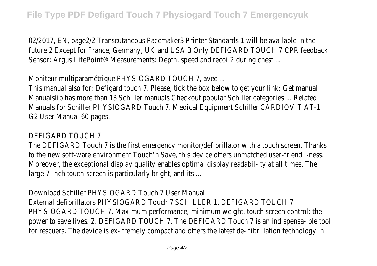02/2017, EN, page2/2 Transcutaneous Pacemaker3 Printer Standards future 2 Except for France, Germany, UK and USA 3 Only DEFIGARD TO Sensor: Argus LifePoint® Measurements: Depth, speed and recoil2 during

Moniteur multiparamétrique PHYSIOGARD TOUCH 7, avec ...

This manual also for: Defigard touch 7. Please, tick the box below to go Manualslib has more than 13 Schiller manuals Checkout popular Schiller Manuals for Schiller PHYSIOGARD Touch 7. Medical Equipment Schiller C G2 User Manual 60 pages.

## DEFIGARD TOUCH 7

The DEFIGARD Touch 7 is the first emergency monitor/defibrillator with to the new soft-ware environment Touch'n Save, this device offers un Moreover, the exceptional display quality enables optimal display readabillarge 7-inch touch-screen is particularly bright, and its ...

Download Schiller PHYSIOGARD Touch 7 User Manual External defibrillators PHYSIOGARD Touch 7 SCHILLER 1. DEFIGARD TOU PHYSIOGARD TOUCH 7. Maximum performance, minimum weight, touch power to save lives. 2. DEFIGARD TOUCH 7. The DEFIGARD Touch 7 is a for rescuers. The device is ex- tremely compact and offers the latest of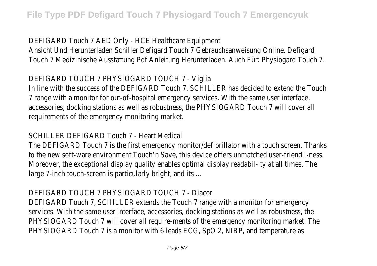DEFIGARD Touch 7 AED Only - HCE Healthcare Equipment Ansicht Und Herunterladen Schiller Defigard Touch 7 Gebrauchsanweisung Touch 7 Medizinische Ausstattung Pdf Anleitung Herunterladen. Auch F

DEFIGARD TOUCH 7 PHYSIOGARD TOUCH 7 - Viglia

In line with the success of the DEFIGARD Touch 7, SCHILLER has decide 7 range with a monitor for out-of-hospital emergency services. With t accessories, docking stations as well as robustness, the PHYSIOGARD T requirements of the emergency monitoring market.

SCHILLER DEFIGARD Touch 7 - Heart Medical

The DEFIGARD Touch 7 is the first emergency monitor/defibrillator with to the new soft-ware environment Touch'n Save, this device offers un Moreover, the exceptional display quality enables optimal display readabillarge 7-inch touch-screen is particularly bright, and its ...

DEFIGARD TOUCH 7 PHYSIOGARD TOUCH 7 - Diacor

DEFIGARD Touch 7, SCHILLER extends the Touch 7 range with a monitor services. With the same user interface, accessories, docking stations a PHYSIOGARD Touch 7 will cover all require-ments of the emergency monitoring market. The market. The market. The PHYSIOGARD Touch 7 is a monitor with 6 leads ECG, SpO 2, NIBP, and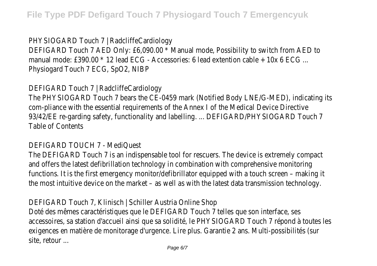PHYSIOGARD Touch 7 | RadcliffeCardiology

DEFIGARD Touch 7 AED Only: £6,090.00 \* Manual mode, Possibility to s manual mode: £390.00 \* 12 lead ECG - Accessories: 6 lead extention c Physiogard Touch 7 ECG, SpO2, NIBP

DEFIGARD Touch 7 | RadcliffeCardiology

The PHYSIOGARD Touch 7 bears the CE-0459 mark (Notified Body LNE, com-pliance with the essential requirements of the Annex I of the Med 93/42/EE re-garding safety, functionality and labelling. ... DEFIGARD/PH Table of Contents

DEFIGARD TOUCH 7 - MediQuest

The DEFIGARD Touch 7 is an indispensable tool for rescuers. The device and offers the latest defibrillation technology in combination with com functions. It is the first emergency monitor/defibrillator equipped with the most intuitive device on the market – as well as with the latest data the

DEFIGARD Touch 7, Klinisch | Schiller Austria Online Shop Doté des mêmes caractéristiques que le DEFIGARD Touch 7 telles que s accessoires, sa station d'accueil ainsi que sa solidité, le PHYSIOGARD To exigences en matière de monitorage d'urgence. Lire plus. Garantie 2 ans. site, retour ...